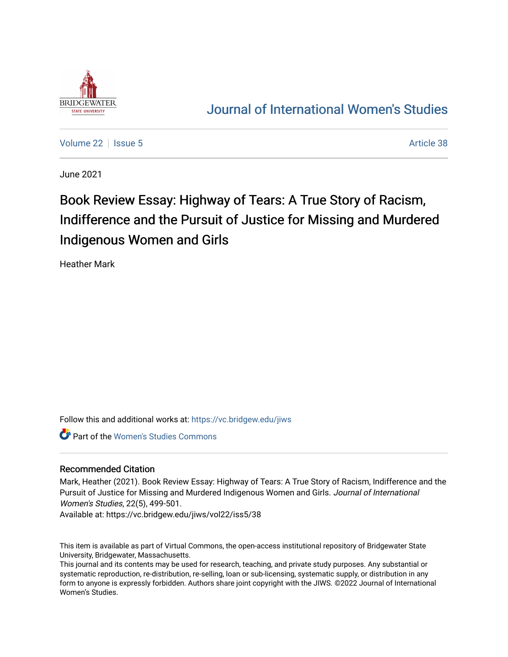

## [Journal of International Women's Studies](https://vc.bridgew.edu/jiws)

[Volume 22](https://vc.bridgew.edu/jiws/vol22) | [Issue 5](https://vc.bridgew.edu/jiws/vol22/iss5) Article 38

June 2021

# Book Review Essay: Highway of Tears: A True Story of Racism, Indifference and the Pursuit of Justice for Missing and Murdered Indigenous Women and Girls

Heather Mark

Follow this and additional works at: [https://vc.bridgew.edu/jiws](https://vc.bridgew.edu/jiws?utm_source=vc.bridgew.edu%2Fjiws%2Fvol22%2Fiss5%2F38&utm_medium=PDF&utm_campaign=PDFCoverPages)

Part of the [Women's Studies Commons](http://network.bepress.com/hgg/discipline/561?utm_source=vc.bridgew.edu%2Fjiws%2Fvol22%2Fiss5%2F38&utm_medium=PDF&utm_campaign=PDFCoverPages) 

## Recommended Citation

Mark, Heather (2021). Book Review Essay: Highway of Tears: A True Story of Racism, Indifference and the Pursuit of Justice for Missing and Murdered Indigenous Women and Girls. Journal of International Women's Studies, 22(5), 499-501.

Available at: https://vc.bridgew.edu/jiws/vol22/iss5/38

This item is available as part of Virtual Commons, the open-access institutional repository of Bridgewater State University, Bridgewater, Massachusetts.

This journal and its contents may be used for research, teaching, and private study purposes. Any substantial or systematic reproduction, re-distribution, re-selling, loan or sub-licensing, systematic supply, or distribution in any form to anyone is expressly forbidden. Authors share joint copyright with the JIWS. ©2022 Journal of International Women's Studies.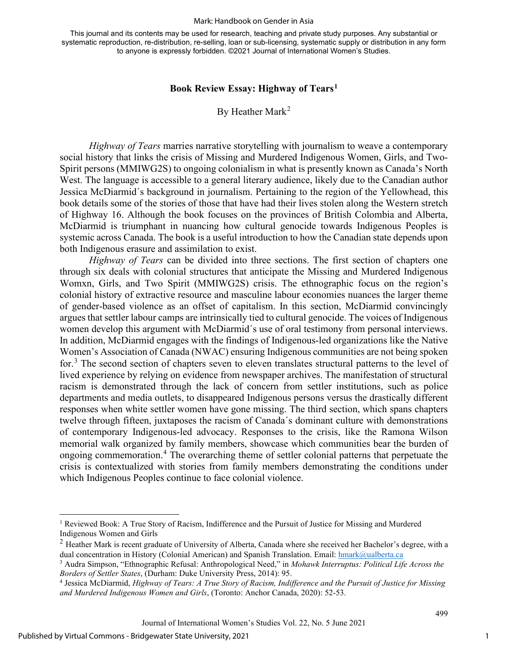#### Mark: Handbook on Gender in Asia

This journal and its contents may be used for research, teaching and private study purposes. Any substantial or systematic reproduction, re-distribution, re-selling, loan or sub-licensing, systematic supply or distribution in any form to anyone is expressly forbidden. ©2021 Journal of International Women's Studies.

### **Book Review Essay: Highway of Tears[1](#page-1-0)**

## By Heather Mark<sup>[2](#page-1-1)</sup>

*Highway of Tears* marries narrative storytelling with journalism to weave a contemporary social history that links the crisis of Missing and Murdered Indigenous Women, Girls, and Two-Spirit persons (MMIWG2S) to ongoing colonialism in what is presently known as Canada's North West. The language is accessible to a general literary audience, likely due to the Canadian author Jessica McDiarmid´s background in journalism. Pertaining to the region of the Yellowhead, this book details some of the stories of those that have had their lives stolen along the Western stretch of Highway 16. Although the book focuses on the provinces of British Colombia and Alberta, McDiarmid is triumphant in nuancing how cultural genocide towards Indigenous Peoples is systemic across Canada. The book is a useful introduction to how the Canadian state depends upon both Indigenous erasure and assimilation to exist.

*Highway of Tears* can be divided into three sections. The first section of chapters one through six deals with colonial structures that anticipate the Missing and Murdered Indigenous Womxn, Girls, and Two Spirit (MMIWG2S) crisis. The ethnographic focus on the region's colonial history of extractive resource and masculine labour economies nuances the larger theme of gender-based violence as an offset of capitalism. In this section, McDiarmid convincingly argues that settler labour camps are intrinsically tied to cultural genocide. The voices of Indigenous women develop this argument with McDiarmid´s use of oral testimony from personal interviews. In addition, McDiarmid engages with the findings of Indigenous-led organizations like the Native Women's Association of Canada (NWAC) ensuring Indigenous communities are not being spoken for.[3](#page-1-2) The second section of chapters seven to eleven translates structural patterns to the level of lived experience by relying on evidence from newspaper archives. The manifestation of structural racism is demonstrated through the lack of concern from settler institutions, such as police departments and media outlets, to disappeared Indigenous persons versus the drastically different responses when white settler women have gone missing. The third section, which spans chapters twelve through fifteen, juxtaposes the racism of Canada´s dominant culture with demonstrations of contemporary Indigenous-led advocacy. Responses to the crisis, like the Ramona Wilson memorial walk organized by family members, showcase which communities bear the burden of ongoing commemoration.[4](#page-1-3) The overarching theme of settler colonial patterns that perpetuate the crisis is contextualized with stories from family members demonstrating the conditions under which Indigenous Peoples continue to face colonial violence.

1

499

<span id="page-1-0"></span><sup>&</sup>lt;sup>1</sup> Reviewed Book: A True Story of Racism, Indifference and the Pursuit of Justice for Missing and Murdered Indigenous Women and Girls

<span id="page-1-1"></span> $2$  Heather Mark is recent graduate of University of Alberta, Canada where she received her Bachelor's degree, with a dual concentration in History (Colonial American) and Spanish Translation. Email: [hmark@ualberta.ca](mailto:hmark@ualberta.ca)

<span id="page-1-2"></span><sup>3</sup> Audra Simpson, "Ethnographic Refusal: Anthropological Need," in *Mohawk Interruptus: Political Life Across the Borders of Settler States*, (Durham: Duke University Press, 2014): 95.

<span id="page-1-3"></span><sup>4</sup> Jessica McDiarmid, *Highway of Tears: A True Story of Racism, Indifference and the Pursuit of Justice for Missing and Murdered Indigenous Women and Girls*, (Toronto: Anchor Canada, 2020): 52-53.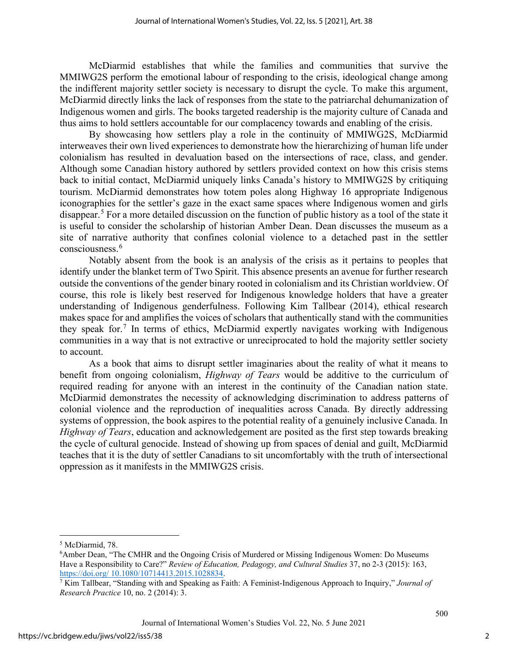McDiarmid establishes that while the families and communities that survive the MMIWG2S perform the emotional labour of responding to the crisis, ideological change among the indifferent majority settler society is necessary to disrupt the cycle. To make this argument, McDiarmid directly links the lack of responses from the state to the patriarchal dehumanization of Indigenous women and girls. The books targeted readership is the majority culture of Canada and thus aims to hold settlers accountable for our complacency towards and enabling of the crisis.

By showcasing how settlers play a role in the continuity of MMIWG2S, McDiarmid interweaves their own lived experiences to demonstrate how the hierarchizing of human life under colonialism has resulted in devaluation based on the intersections of race, class, and gender. Although some Canadian history authored by settlers provided context on how this crisis stems back to initial contact, McDiarmid uniquely links Canada's history to MMIWG2S by critiquing tourism. McDiarmid demonstrates how totem poles along Highway 16 appropriate Indigenous iconographies for the settler's gaze in the exact same spaces where Indigenous women and girls disappear.[5](#page-2-0) For a more detailed discussion on the function of public history as a tool of the state it is useful to consider the scholarship of historian Amber Dean. Dean discusses the museum as a site of narrative authority that confines colonial violence to a detached past in the settler consciousness.<sup>[6](#page-2-1)</sup>

Notably absent from the book is an analysis of the crisis as it pertains to peoples that identify under the blanket term of Two Spirit. This absence presents an avenue for further research outside the conventions of the gender binary rooted in colonialism and its Christian worldview. Of course, this role is likely best reserved for Indigenous knowledge holders that have a greater understanding of Indigenous genderfulness. Following Kim Tallbear (2014), ethical research makes space for and amplifies the voices of scholars that authentically stand with the communities they speak for.[7](#page-2-2) In terms of ethics, McDiarmid expertly navigates working with Indigenous communities in a way that is not extractive or unreciprocated to hold the majority settler society to account.

As a book that aims to disrupt settler imaginaries about the reality of what it means to benefit from ongoing colonialism, *Highway of Tears* would be additive to the curriculum of required reading for anyone with an interest in the continuity of the Canadian nation state. McDiarmid demonstrates the necessity of acknowledging discrimination to address patterns of colonial violence and the reproduction of inequalities across Canada. By directly addressing systems of oppression, the book aspires to the potential reality of a genuinely inclusive Canada. In *Highway of Tears*, education and acknowledgement are posited as the first step towards breaking the cycle of cultural genocide. Instead of showing up from spaces of denial and guilt, McDiarmid teaches that it is the duty of settler Canadians to sit uncomfortably with the truth of intersectional oppression as it manifests in the MMIWG2S crisis.

500

<span id="page-2-0"></span><sup>&</sup>lt;sup>5</sup> McDiarmid, 78.

<span id="page-2-1"></span><sup>&</sup>lt;sup>6</sup>Amber Dean, "The CMHR and the Ongoing Crisis of Murdered or Missing Indigenous Women: Do Museums Have a Responsibility to Care?" *Review of Education, Pedagogy, and Cultural Studies* 37, no 2-3 (2015): 163, https://doi.org/ 10.1080/10714413.2015.1028834.

<span id="page-2-2"></span> $\frac{1}{2}$  Kim Tallbear, "Standing with and Speaking as Faith: A Feminist-Indigenous Approach to Inquiry," *Journal of Research Practice* 10, no. 2 (2014): 3.